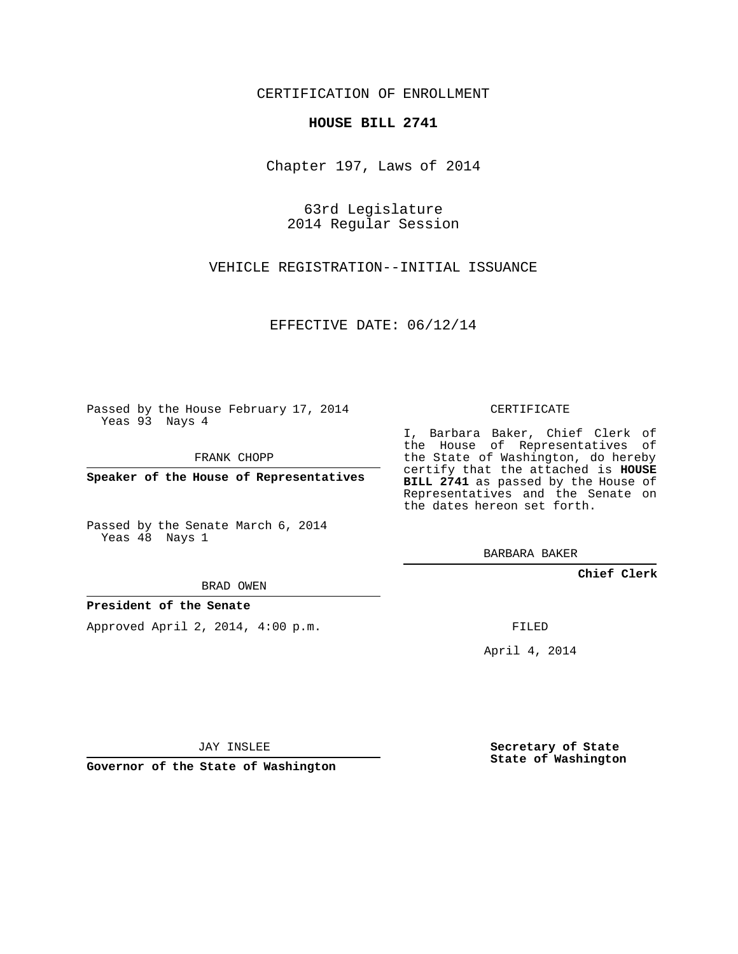CERTIFICATION OF ENROLLMENT

## **HOUSE BILL 2741**

Chapter 197, Laws of 2014

63rd Legislature 2014 Regular Session

VEHICLE REGISTRATION--INITIAL ISSUANCE

EFFECTIVE DATE: 06/12/14

Passed by the House February 17, 2014 Yeas 93 Nays 4

FRANK CHOPP

**Speaker of the House of Representatives**

Passed by the Senate March 6, 2014 Yeas 48 Nays 1

BRAD OWEN

## **President of the Senate**

Approved April 2, 2014, 4:00 p.m.

CERTIFICATE

I, Barbara Baker, Chief Clerk of the House of Representatives of the State of Washington, do hereby certify that the attached is **HOUSE BILL 2741** as passed by the House of Representatives and the Senate on the dates hereon set forth.

BARBARA BAKER

**Chief Clerk**

FILED

April 4, 2014

JAY INSLEE

**Governor of the State of Washington**

**Secretary of State State of Washington**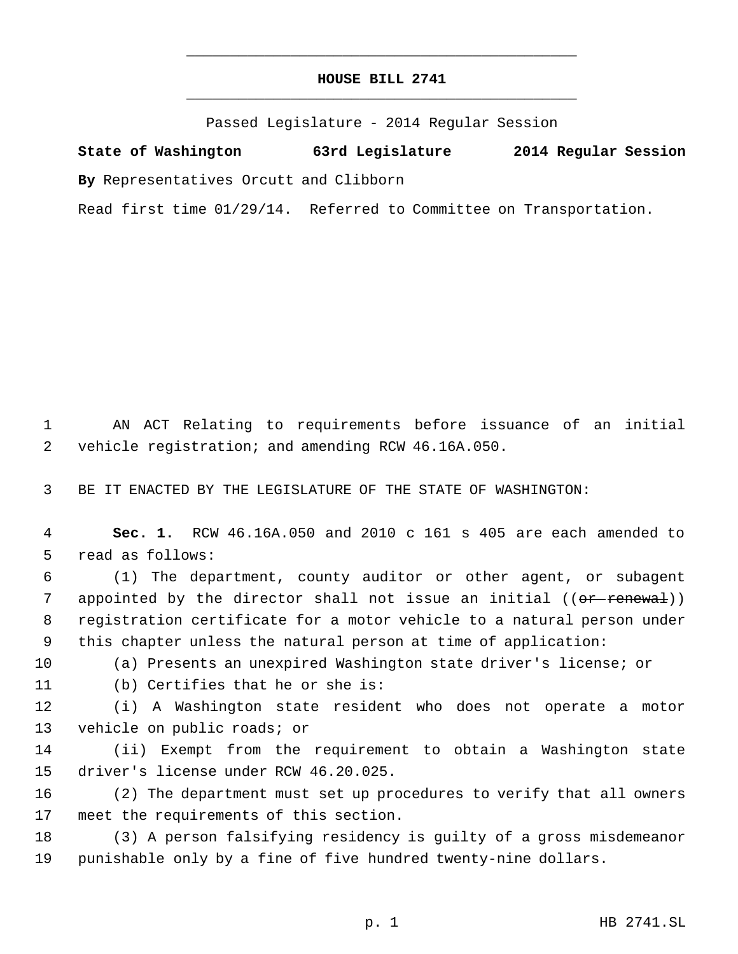## **HOUSE BILL 2741** \_\_\_\_\_\_\_\_\_\_\_\_\_\_\_\_\_\_\_\_\_\_\_\_\_\_\_\_\_\_\_\_\_\_\_\_\_\_\_\_\_\_\_\_\_

\_\_\_\_\_\_\_\_\_\_\_\_\_\_\_\_\_\_\_\_\_\_\_\_\_\_\_\_\_\_\_\_\_\_\_\_\_\_\_\_\_\_\_\_\_

Passed Legislature - 2014 Regular Session

**State of Washington 63rd Legislature 2014 Regular Session By** Representatives Orcutt and Clibborn

Read first time 01/29/14. Referred to Committee on Transportation.

 AN ACT Relating to requirements before issuance of an initial vehicle registration; and amending RCW 46.16A.050.

BE IT ENACTED BY THE LEGISLATURE OF THE STATE OF WASHINGTON:

 **Sec. 1.** RCW 46.16A.050 and 2010 c 161 s 405 are each amended to read as follows:

 (1) The department, county auditor or other agent, or subagent 7 appointed by the director shall not issue an initial ((or renewal)) registration certificate for a motor vehicle to a natural person under this chapter unless the natural person at time of application:

(a) Presents an unexpired Washington state driver's license; or

(b) Certifies that he or she is:

 (i) A Washington state resident who does not operate a motor vehicle on public roads; or

 (ii) Exempt from the requirement to obtain a Washington state driver's license under RCW 46.20.025.

 (2) The department must set up procedures to verify that all owners meet the requirements of this section.

 (3) A person falsifying residency is guilty of a gross misdemeanor punishable only by a fine of five hundred twenty-nine dollars.